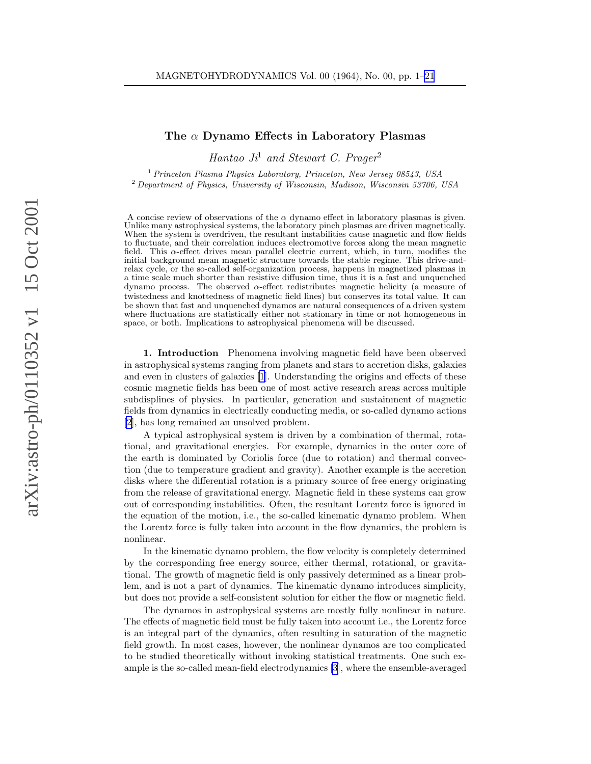## The  $\alpha$  Dynamo Effects in Laboratory Plasmas

Hantao  $J_i^1$  and Stewart C. Prager<sup>2</sup>

<sup>1</sup> Princeton Plasma Physics Laboratory, Princeton, New Jersey 08543, USA <sup>2</sup> Department of Physics, University of Wisconsin, Madison, Wisconsin 53706, USA

A concise review of observations of the  $\alpha$  dynamo effect in laboratory plasmas is given. Unlike many astrophysical systems, the laboratory pinch plasmas are driven magnetically. When the system is overdriven, the resultant instabilities cause magnetic and flow fields to fluctuate, and their correlation induces electromotive forces along the mean magnetic field. This α-effect drives mean parallel electric current, which, in turn, modifies the initial background mean magnetic structure towards the stable regime. This drive-andrelax cycle, or the so-called self-organization process, happens in magnetized plasmas in a time scale much shorter than resistive diffusion time, thus it is a fast and unquenched dynamo process. The observed  $\alpha$ -effect redistributes magnetic helicity (a measure of twistedness and knottedness of magnetic field lines) but conserves its total value. It can be shown that fast and unquenched dynamos are natural consequences of a driven system where fluctuations are statistically either not stationary in time or not homogeneous in space, or both. Implications to astrophysical phenomena will be discussed.

1. Introduction Phenomena involving magnetic field have been observed in astrophysical systems ranging from planets and stars to accretion disks, galaxies and even in clusters of galaxies [\[1](#page-17-0)]. Understanding the origins and effects of these cosmic magnetic fields has been one of most active research areas across multiple subdisplines of physics. In particular, generation and sustainment of magnetic fields from dynamics in electrically conducting media, or so-called dynamo actions [\[2](#page-17-0)], has long remained an unsolved problem.

A typical astrophysical system is driven by a combination of thermal, rotational, and gravitational energies. For example, dynamics in the outer core of the earth is dominated by Coriolis force (due to rotation) and thermal convection (due to temperature gradient and gravity). Another example is the accretion disks where the differential rotation is a primary source of free energy originating from the release of gravitational energy. Magnetic field in these systems can grow out of corresponding instabilities. Often, the resultant Lorentz force is ignored in the equation of the motion, i.e., the so-called kinematic dynamo problem. When the Lorentz force is fully taken into account in the flow dynamics, the problem is nonlinear.

In the kinematic dynamo problem, the flow velocity is completely determined by the corresponding free energy source, either thermal, rotational, or gravitational. The growth of magnetic field is only passively determined as a linear problem, and is not a part of dynamics. The kinematic dynamo introduces simplicity, but does not provide a self-consistent solution for either the flow or magnetic field.

The dynamos in astrophysical systems are mostly fully nonlinear in nature. The effects of magnetic field must be fully taken into account i.e., the Lorentz force is an integral part of the dynamics, often resulting in saturation of the magnetic field growth. In most cases, however, the nonlinear dynamos are too complicated to be studied theoretically without invoking statistical treatments. One such example is the so-called mean-field electrodynamics[[3](#page-17-0)], where the ensemble-averaged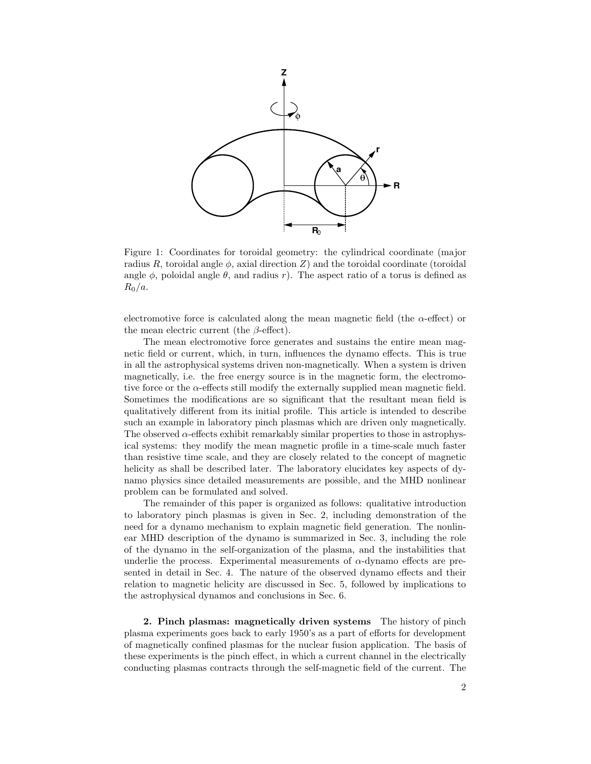<span id="page-1-0"></span>

Figure 1: Coordinates for toroidal geometry: the cylindrical coordinate (major radius R, toroidal angle  $\phi$ , axial direction Z) and the toroidal coordinate (toroidal angle  $\phi$ , poloidal angle  $\theta$ , and radius r). The aspect ratio of a torus is defined as  $R_0/a$ .

electromotive force is calculated along the mean magnetic field (the  $\alpha$ -effect) or the mean electric current (the  $\beta$ -effect).

The mean electromotive force generates and sustains the entire mean magnetic field or current, which, in turn, influences the dynamo effects. This is true in all the astrophysical systems driven non-magnetically. When a system is driven magnetically, i.e. the free energy source is in the magnetic form, the electromotive force or the  $\alpha$ -effects still modify the externally supplied mean magnetic field. Sometimes the modifications are so significant that the resultant mean field is qualitatively different from its initial profile. This article is intended to describe such an example in laboratory pinch plasmas which are driven only magnetically. The observed  $\alpha$ -effects exhibit remarkably similar properties to those in astrophysical systems: they modify the mean magnetic profile in a time-scale much faster than resistive time scale, and they are closely related to the concept of magnetic helicity as shall be described later. The laboratory elucidates key aspects of dynamo physics since detailed measurements are possible, and the MHD nonlinear problem can be formulated and solved.

The remainder of this paper is organized as follows: qualitative introduction to laboratory pinch plasmas is given in Sec. 2, including demonstration of the need for a dynamo mechanism to explain magnetic field generation. The nonlinear MHD description of the dynamo is summarized in Sec. 3, including the role of the dynamo in the self-organization of the plasma, and the instabilities that underlie the process. Experimental measurements of  $\alpha$ -dynamo effects are presented in detail in Sec. 4. The nature of the observed dynamo effects and their relation to magnetic helicity are discussed in Sec. 5, followed by implications to the astrophysical dynamos and conclusions in Sec. 6.

2. Pinch plasmas: magnetically driven systems The history of pinch plasma experiments goes back to early 1950's as a part of efforts for development of magnetically confined plasmas for the nuclear fusion application. The basis of these experiments is the pinch effect, in which a current channel in the electrically conducting plasmas contracts through the self-magnetic field of the current. The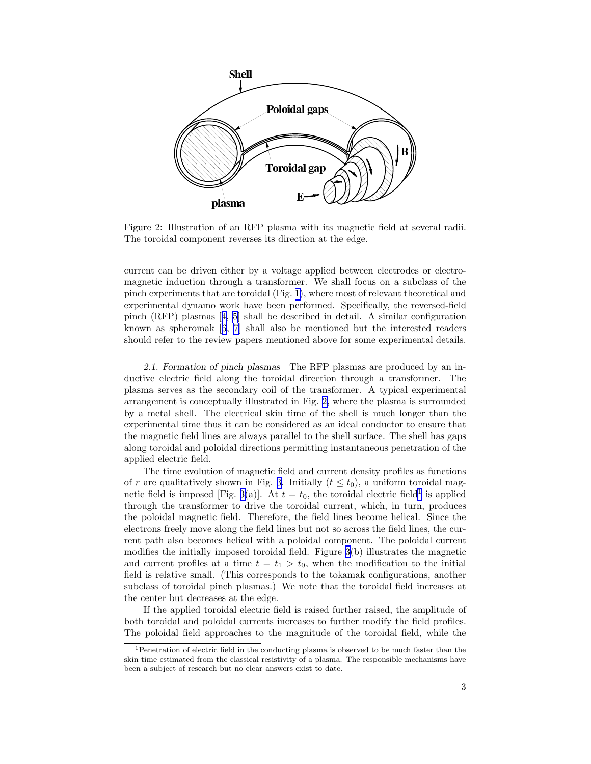<span id="page-2-0"></span>

Figure 2: Illustration of an RFP plasma with its magnetic field at several radii. The toroidal component reverses its direction at the edge.

current can be driven either by a voltage applied between electrodes or electromagnetic induction through a transformer. We shall focus on a subclass of the pinch experiments that are toroidal (Fig. [1\)](#page-1-0), where most of relevant theoretical and experimental dynamo work have been performed. Specifically, the reversed-field pinch (RFP) plasmas[[4, 5](#page-17-0)] shall be described in detail. A similar configuration known as spheromak[[6, 7](#page-17-0)] shall also be mentioned but the interested readers should refer to the review papers mentioned above for some experimental details.

2.1. Formation of pinch plasmas The RFP plasmas are produced by an inductive electric field along the toroidal direction through a transformer. The plasma serves as the secondary coil of the transformer. A typical experimental arrangement is conceptually illustrated in Fig. 2, where the plasma is surrounded by a metal shell. The electrical skin time of the shell is much longer than the experimental time thus it can be considered as an ideal conductor to ensure that the magnetic field lines are always parallel to the shell surface. The shell has gaps along toroidal and poloidal directions permitting instantaneous penetration of the applied electric field.

The time evolution of magnetic field and current density profiles as functions of r are qualitatively shown in Fig. [3.](#page-3-0) Initially  $(t \leq t_0)$ , a uniform toroidal mag-netic field is imposed [Fig. [3\(](#page-3-0)a)]. At  $t = t_0$ , the toroidal electric field<sup>1</sup> is applied through the transformer to drive the toroidal current, which, in turn, produces the poloidal magnetic field. Therefore, the field lines become helical. Since the electrons freely move along the field lines but not so across the field lines, the current path also becomes helical with a poloidal component. The poloidal current modifies the initially imposed toroidal field. Figure [3\(](#page-3-0)b) illustrates the magnetic and current profiles at a time  $t = t_1 > t_0$ , when the modification to the initial field is relative small. (This corresponds to the tokamak configurations, another subclass of toroidal pinch plasmas.) We note that the toroidal field increases at the center but decreases at the edge.

If the applied toroidal electric field is raised further raised, the amplitude of both toroidal and poloidal currents increases to further modify the field profiles. The poloidal field approaches to the magnitude of the toroidal field, while the

<sup>&</sup>lt;sup>1</sup>Penetration of electric field in the conducting plasma is observed to be much faster than the skin time estimated from the classical resistivity of a plasma. The responsible mechanisms have been a subject of research but no clear answers exist to date.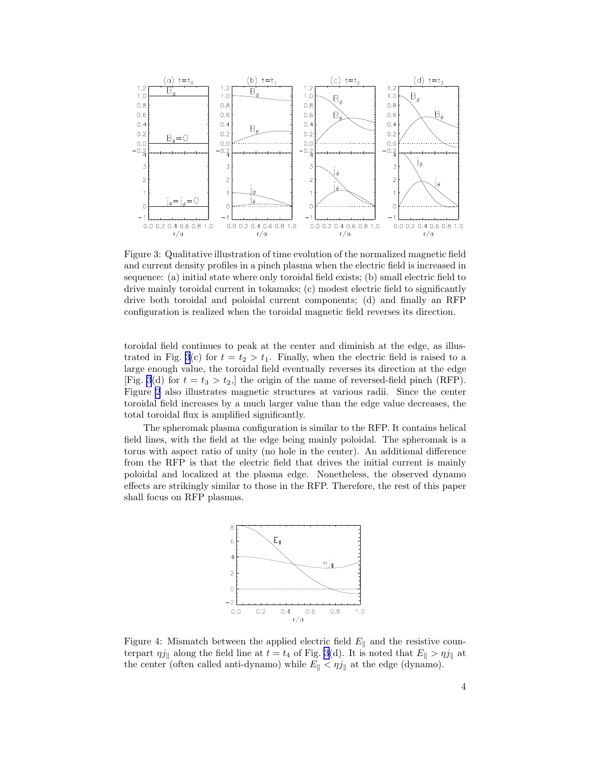<span id="page-3-0"></span>

Figure 3: Qualitative illustration of time evolution of the normalized magnetic field and current density profiles in a pinch plasma when the electric field is increased in sequence: (a) initial state where only toroidal field exists; (b) small electric field to drive mainly toroidal current in tokamaks; (c) modest electric field to significantly drive both toroidal and poloidal current components; (d) and finally an RFP configuration is realized when the toroidal magnetic field reverses its direction.

toroidal field continues to peak at the center and diminish at the edge, as illustrated in Fig. 3(c) for  $t = t_2 > t_1$ . Finally, when the electric field is raised to a large enough value, the toroidal field eventually reverses its direction at the edge [Fig. 3(d) for  $t = t_3 > t_2$ ,] the origin of the name of reversed-field pinch (RFP). Figure [2](#page-2-0) also illustrates magnetic structures at various radii. Since the center toroidal field increases by a much larger value than the edge value decreases, the total toroidal flux is amplified significantly.

The spheromak plasma configuration is similar to the RFP. It contains helical field lines, with the field at the edge being mainly poloidal. The spheromak is a torus with aspect ratio of unity (no hole in the center). An additional difference from the RFP is that the electric field that drives the initial current is mainly poloidal and localized at the plasma edge. Nonetheless, the observed dynamo effects are strikingly similar to those in the RFP. Therefore, the rest of this paper shall focus on RFP plasmas.



Figure 4: Mismatch between the applied electric field  $E_{\parallel}$  and the resistive counterpart  $\eta j_{\parallel}$  along the field line at  $t = t_4$  of Fig. 3(d). It is noted that  $E_{\parallel} > \eta j_{\parallel}$  at the center (often called anti-dynamo) while  $E_{\parallel} < \eta j_{\parallel}$  at the edge (dynamo).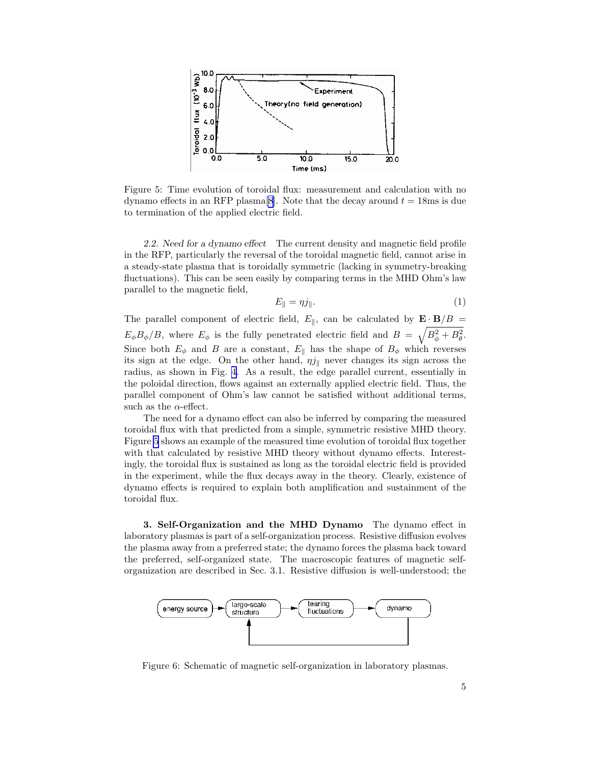<span id="page-4-0"></span>

Figure 5: Time evolution of toroidal flux: measurement and calculation with no dynamo effects in an RFP plasma<sup>[\[8\]](#page-18-0)</sup>. Note that the decay around  $t = 18$ ms is due to termination of the applied electric field.

2.2. Need for a dynamo effect The current density and magnetic field profile in the RFP, particularly the reversal of the toroidal magnetic field, cannot arise in a steady-state plasma that is toroidally symmetric (lacking in symmetry-breaking fluctuations). This can be seen easily by comparing terms in the MHD Ohm's law parallel to the magnetic field,

$$
E_{\parallel} = \eta j_{\parallel}. \tag{1}
$$

The parallel component of electric field,  $E_{\parallel}$ , can be calculated by  $\mathbf{E} \cdot \mathbf{B}/B =$  $E_{\phi}B_{\phi}/B$ , where  $E_{\phi}$  is the fully penetrated electric field and  $B = \sqrt{B_{\phi}^2 + B_{\theta}^2}$ . Since both  $E_{\phi}$  and B are a constant,  $E_{\parallel}$  has the shape of  $B_{\phi}$  which reverses its sign at the edge. On the other hand,  $\eta j_{\parallel}$  never changes its sign across the radius, as shown in Fig. [4.](#page-3-0) As a result, the edge parallel current, essentially in the poloidal direction, flows against an externally applied electric field. Thus, the parallel component of Ohm's law cannot be satisfied without additional terms, such as the  $\alpha$ -effect.

The need for a dynamo effect can also be inferred by comparing the measured toroidal flux with that predicted from a simple, symmetric resistive MHD theory. Figure 5 shows an example of the measured time evolution of toroidal flux together with that calculated by resistive MHD theory without dynamo effects. Interestingly, the toroidal flux is sustained as long as the toroidal electric field is provided in the experiment, while the flux decays away in the theory. Clearly, existence of dynamo effects is required to explain both amplification and sustainment of the toroidal flux.

3. Self-Organization and the MHD Dynamo The dynamo effect in laboratory plasmas is part of a self-organization process. Resistive diffusion evolves the plasma away from a preferred state; the dynamo forces the plasma back toward the preferred, self-organized state. The macroscopic features of magnetic selforganization are described in Sec. 3.1. Resistive diffusion is well-understood; the



Figure 6: Schematic of magnetic self-organization in laboratory plasmas.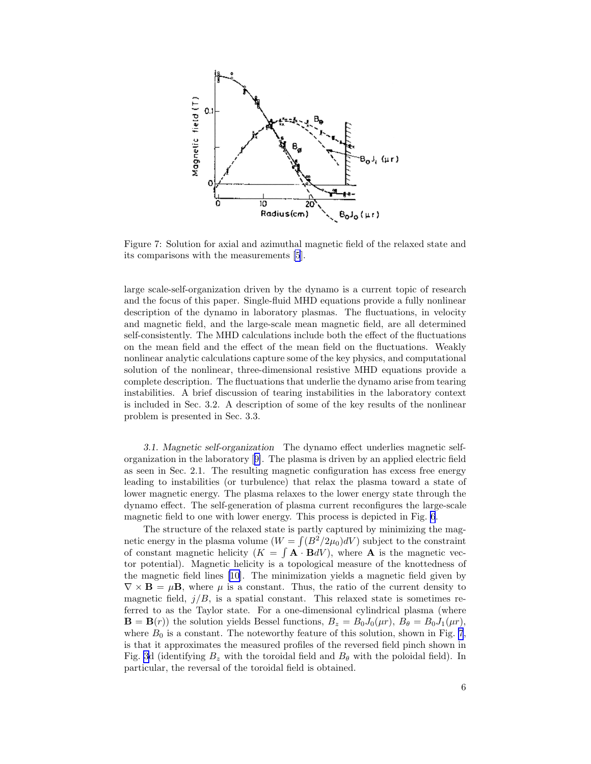

Figure 7: Solution for axial and azimuthal magnetic field of the relaxed state and its comparisons with the measurements [\[5](#page-17-0)].

large scale-self-organization driven by the dynamo is a current topic of research and the focus of this paper. Single-fluid MHD equations provide a fully nonlinear description of the dynamo in laboratory plasmas. The fluctuations, in velocity and magnetic field, and the large-scale mean magnetic field, are all determined self-consistently. The MHD calculations include both the effect of the fluctuations on the mean field and the effect of the mean field on the fluctuations. Weakly nonlinear analytic calculations capture some of the key physics, and computational solution of the nonlinear, three-dimensional resistive MHD equations provide a complete description. The fluctuations that underlie the dynamo arise from tearing instabilities. A brief discussion of tearing instabilities in the laboratory context is included in Sec. 3.2. A description of some of the key results of the nonlinear problem is presented in Sec. 3.3.

3.1. Magnetic self-organization The dynamo effect underlies magnetic selforganization in the laboratory[[9\]](#page-18-0). The plasma is driven by an applied electric field as seen in Sec. 2.1. The resulting magnetic configuration has excess free energy leading to instabilities (or turbulence) that relax the plasma toward a state of lower magnetic energy. The plasma relaxes to the lower energy state through the dynamo effect. The self-generation of plasma current reconfigures the large-scale magnetic field to one with lower energy. This process is depicted in Fig. [6](#page-4-0).

The structure of the relaxed state is partly captured by minimizing the magnetic energy in the plasma volume  $(W = \int (B^2/2\mu_0)dV)$  subject to the constraint of constant magnetic helicity  $(K = \int \mathbf{A} \cdot \mathbf{B} dV)$ , where **A** is the magnetic vector potential). Magnetic helicity is a topological measure of the knottedness of the magnetic field lines [\[10](#page-18-0)]. The minimization yields a magnetic field given by  $\nabla \times \mathbf{B} = \mu \mathbf{B}$ , where  $\mu$  is a constant. Thus, the ratio of the current density to magnetic field,  $j/B$ , is a spatial constant. This relaxed state is sometimes referred to as the Taylor state. For a one-dimensional cylindrical plasma (where  $\mathbf{B} = \mathbf{B}(r)$ ) the solution yields Bessel functions,  $B_z = B_0 J_0(\mu r)$ ,  $B_\theta = B_0 J_1(\mu r)$ , where  $B_0$  is a constant. The noteworthy feature of this solution, shown in Fig. 7, is that it approximates the measured profiles of the reversed field pinch shown in Fig. [3](#page-3-0)d (identifying  $B_z$  with the toroidal field and  $B_\theta$  with the poloidal field). In particular, the reversal of the toroidal field is obtained.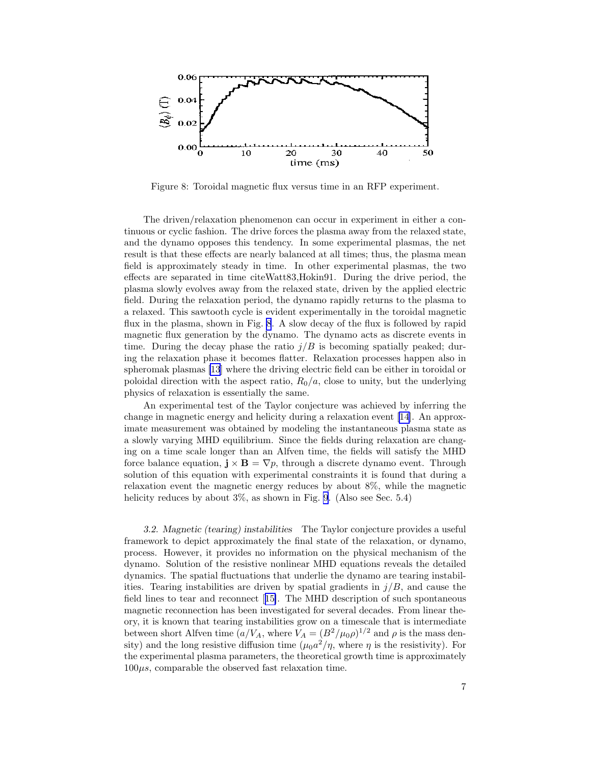

Figure 8: Toroidal magnetic flux versus time in an RFP experiment.

The driven/relaxation phenomenon can occur in experiment in either a continuous or cyclic fashion. The drive forces the plasma away from the relaxed state, and the dynamo opposes this tendency. In some experimental plasmas, the net result is that these effects are nearly balanced at all times; thus, the plasma mean field is approximately steady in time. In other experimental plasmas, the two effects are separated in time citeWatt83,Hokin91. During the drive period, the plasma slowly evolves away from the relaxed state, driven by the applied electric field. During the relaxation period, the dynamo rapidly returns to the plasma to a relaxed. This sawtooth cycle is evident experimentally in the toroidal magnetic flux in the plasma, shown in Fig. 8. A slow decay of the flux is followed by rapid magnetic flux generation by the dynamo. The dynamo acts as discrete events in time. During the decay phase the ratio  $j/B$  is becoming spatially peaked; during the relaxation phase it becomes flatter. Relaxation processes happen also in spheromak plasmas [\[13](#page-18-0)] where the driving electric field can be either in toroidal or poloidal direction with the aspect ratio,  $R_0/a$ , close to unity, but the underlying physics of relaxation is essentially the same.

An experimental test of the Taylor conjecture was achieved by inferring the change in magnetic energy and helicity during a relaxation event [\[14\]](#page-18-0). An approximate measurement was obtained by modeling the instantaneous plasma state as a slowly varying MHD equilibrium. Since the fields during relaxation are changing on a time scale longer than an Alfven time, the fields will satisfy the MHD force balance equation,  $\mathbf{j} \times \mathbf{B} = \nabla p$ , through a discrete dynamo event. Through solution of this equation with experimental constraints it is found that during a relaxation event the magnetic energy reduces by about 8%, while the magnetic helicity reduces by about  $3\%$ , as shown in Fig. [9](#page-7-0). (Also see Sec. 5.4)

3.2. Magnetic (tearing) instabilities The Taylor conjecture provides a useful framework to depict approximately the final state of the relaxation, or dynamo, process. However, it provides no information on the physical mechanism of the dynamo. Solution of the resistive nonlinear MHD equations reveals the detailed dynamics. The spatial fluctuations that underlie the dynamo are tearing instabilities. Tearing instabilities are driven by spatial gradients in  $j/B$ , and cause the field lines to tear and reconnect[[15\]](#page-18-0). The MHD description of such spontaneous magnetic reconnection has been investigated for several decades. From linear theory, it is known that tearing instabilities grow on a timescale that is intermediate between short Alfven time  $(a/V_A)$ , where  $V_A = (B^2/\mu_0 \rho)^{1/2}$  and  $\rho$  is the mass density) and the long resistive diffusion time  $(\mu_0 a^2/\eta)$ , where  $\eta$  is the resistivity). For the experimental plasma parameters, the theoretical growth time is approximately  $100\mu s$ , comparable the observed fast relaxation time.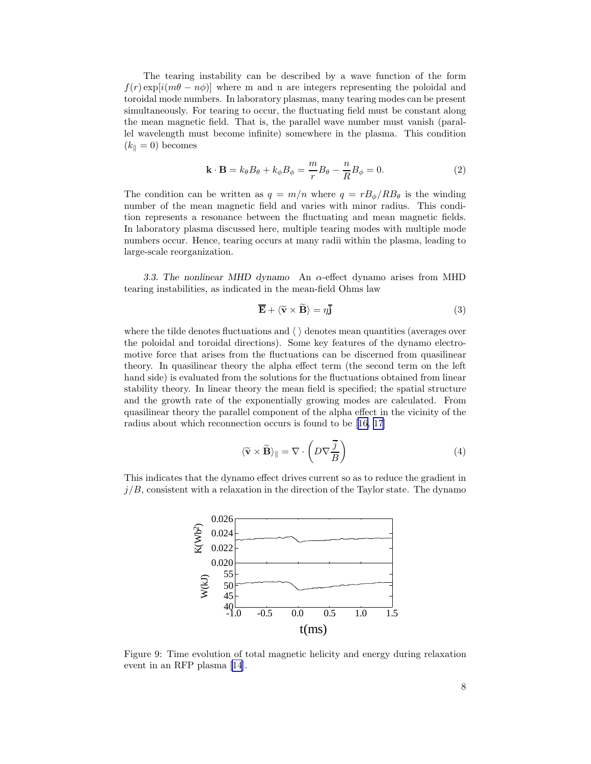<span id="page-7-0"></span>The tearing instability can be described by a wave function of the form  $f(r) \exp[i(m\theta - n\phi)]$  where m and n are integers representing the poloidal and toroidal mode numbers. In laboratory plasmas, many tearing modes can be present simultaneously. For tearing to occur, the fluctuating field must be constant along the mean magnetic field. That is, the parallel wave number must vanish (parallel wavelength must become infinite) somewhere in the plasma. This condition  $(k_{\parallel} = 0)$  becomes

$$
\mathbf{k} \cdot \mathbf{B} = k_{\theta} B_{\theta} + k_{\phi} B_{\phi} = \frac{m}{r} B_{\theta} - \frac{n}{R} B_{\phi} = 0.
$$
 (2)

The condition can be written as  $q = m/n$  where  $q = rB_{\phi}/RB_{\theta}$  is the winding number of the mean magnetic field and varies with minor radius. This condition represents a resonance between the fluctuating and mean magnetic fields. In laboratory plasma discussed here, multiple tearing modes with multiple mode numbers occur. Hence, tearing occurs at many radii within the plasma, leading to large-scale reorganization.

3.3. The nonlinear MHD dynamo An  $\alpha$ -effect dynamo arises from MHD tearing instabilities, as indicated in the mean-field Ohms law

$$
\overline{\mathbf{E}} + \langle \widetilde{\mathbf{v}} \times \widetilde{\mathbf{B}} \rangle = \eta \overline{\mathbf{j}}
$$
 (3)

where the tilde denotes fluctuations and  $\langle \ \rangle$  denotes mean quantities (averages over the poloidal and toroidal directions). Some key features of the dynamo electromotive force that arises from the fluctuations can be discerned from quasilinear theory. In quasilinear theory the alpha effect term (the second term on the left hand side) is evaluated from the solutions for the fluctuations obtained from linear stability theory. In linear theory the mean field is specified; the spatial structure and the growth rate of the exponentially growing modes are calculated. From quasilinear theory the parallel component of the alpha effect in the vicinity of the radius about which reconnection occurs is found to be [\[16](#page-18-0), [17](#page-18-0)]

$$
\langle \widetilde{\mathbf{v}} \times \widetilde{\mathbf{B}} \rangle_{\parallel} = \nabla \cdot \left( D \nabla \frac{\overline{j}}{B} \right)
$$
 (4)

This indicates that the dynamo effect drives current so as to reduce the gradient in  $j/B$ , consistent with a relaxation in the direction of the Taylor state. The dynamo



Figure 9: Time evolution of total magnetic helicity and energy during relaxation event in an RFP plasma[[14\]](#page-18-0).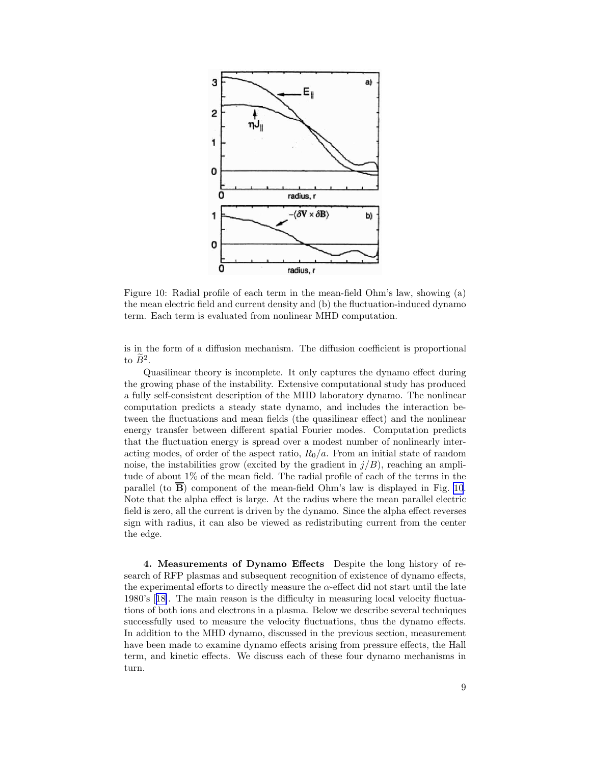

Figure 10: Radial profile of each term in the mean-field Ohm's law, showing (a) the mean electric field and current density and (b) the fluctuation-induced dynamo term. Each term is evaluated from nonlinear MHD computation.

is in the form of a diffusion mechanism. The diffusion coefficient is proportional to  $\tilde{B}^2$ .

Quasilinear theory is incomplete. It only captures the dynamo effect during the growing phase of the instability. Extensive computational study has produced a fully self-consistent description of the MHD laboratory dynamo. The nonlinear computation predicts a steady state dynamo, and includes the interaction between the fluctuations and mean fields (the quasilinear effect) and the nonlinear energy transfer between different spatial Fourier modes. Computation predicts that the fluctuation energy is spread over a modest number of nonlinearly interacting modes, of order of the aspect ratio,  $R_0/a$ . From an initial state of random noise, the instabilities grow (excited by the gradient in  $j/B$ ), reaching an amplitude of about 1% of the mean field. The radial profile of each of the terms in the parallel (to  $\overline{B}$ ) component of the mean-field Ohm's law is displayed in Fig. 10. Note that the alpha effect is large. At the radius where the mean parallel electric field is zero, all the current is driven by the dynamo. Since the alpha effect reverses sign with radius, it can also be viewed as redistributing current from the center the edge.

4. Measurements of Dynamo Effects Despite the long history of research of RFP plasmas and subsequent recognition of existence of dynamo effects, the experimental efforts to directly measure the  $\alpha$ -effect did not start until the late 1980's[[18\]](#page-18-0). The main reason is the difficulty in measuring local velocity fluctuations of both ions and electrons in a plasma. Below we describe several techniques successfully used to measure the velocity fluctuations, thus the dynamo effects. In addition to the MHD dynamo, discussed in the previous section, measurement have been made to examine dynamo effects arising from pressure effects, the Hall term, and kinetic effects. We discuss each of these four dynamo mechanisms in turn.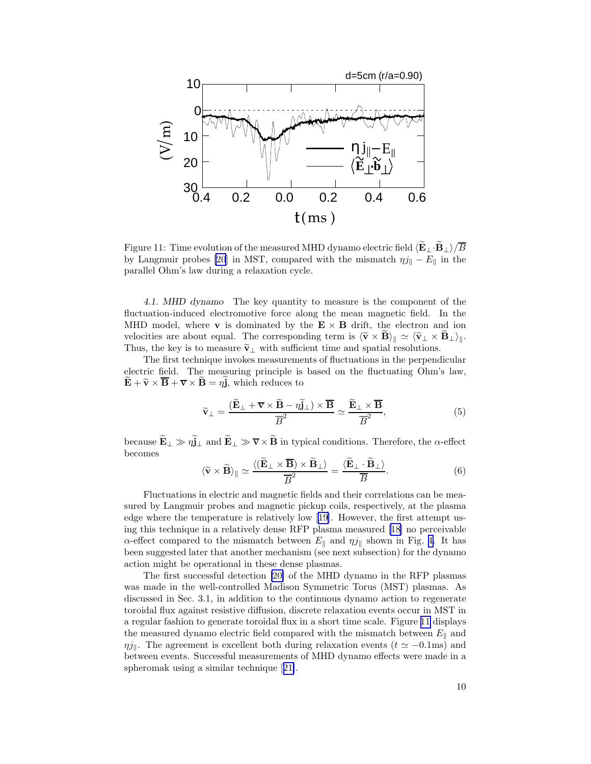<span id="page-9-0"></span>

Figure 11: Time evolution of the measured MHD dynamo electric field  $\langle E_\perp \cdot B_\perp \rangle / \overline{B}$ by Langmuir probes [\[20](#page-18-0)] in MST, compared with the mismatch  $\eta j_{\parallel} - E_{\parallel}$  in the parallel Ohm's law during a relaxation cycle.

4.1. MHD dynamo The key quantity to measure is the component of the fluctuation-induced electromotive force along the mean magnetic field. In the MHD model, where **v** is dominated by the  $E \times B$  drift, the electron and ion velocities are about equal. The corresponding term is  $\langle \tilde{\mathbf{v}} \times \mathbf{B} \rangle_{\parallel} \simeq \langle \tilde{\mathbf{v}}_{\perp} \times \mathbf{B}_{\perp} \rangle_{\parallel}$ . Thus, the key is to measure  $\tilde{\mathbf{v}}_{\perp}$  with sufficient time and spatial resolutions.

The first technique invokes measurements of fluctuations in the perpendicular electric field. The measuring principle is based on the fluctuating Ohm's law,  $\mathbf{E} + \widetilde{\mathbf{v}} \times \overline{\mathbf{B}} + \overline{\mathbf{v}} \times \mathbf{B} = \eta \mathbf{j}$ , which reduces to

$$
\widetilde{\mathbf{v}}_{\perp} = \frac{(\widetilde{\mathbf{E}}_{\perp} + \overline{\mathbf{v}} \times \widetilde{\mathbf{B}} - \eta \widetilde{\mathbf{j}}_{\perp}) \times \overline{\mathbf{B}}}{\overline{B}^2} \simeq \frac{\widetilde{\mathbf{E}}_{\perp} \times \overline{\mathbf{B}}}{\overline{B}^2},\tag{5}
$$

because  $\widetilde{\mathbf{E}}_{\perp} \gg \eta \widetilde{\mathbf{j}}_{\perp}$  and  $\widetilde{\mathbf{E}}_{\perp} \gg \overline{\mathbf{v}} \times \widetilde{\mathbf{B}}$  in typical conditions. Therefore, the  $\alpha$ -effect becomes

$$
\langle \widetilde{\mathbf{v}} \times \widetilde{\mathbf{B}} \rangle_{\parallel} \simeq \frac{\langle (\widetilde{\mathbf{E}}_{\perp} \times \overline{\mathbf{B}}) \times \widetilde{\mathbf{B}}_{\perp} \rangle}{\overline{B}^2} = \frac{\langle \widetilde{\mathbf{E}}_{\perp} \cdot \widetilde{\mathbf{B}}_{\perp} \rangle}{\overline{B}}.
$$
 (6)

Fluctuations in electric and magnetic fields and their correlations can be measured by Langmuir probes and magnetic pickup coils, respectively, at the plasma edge where the temperature is relatively low[[19\]](#page-18-0). However, the first attempt using this technique in a relatively dense RFP plasma measured [\[18\]](#page-18-0) no perceivable  $\alpha$ -effect compared to the mismatch between  $E_{\parallel}$  and  $\eta j_{\parallel}$  shown in Fig. [4.](#page-3-0) It has been suggested later that another mechanism (see next subsection) for the dynamo action might be operational in these dense plasmas.

The first successful detection [\[20\]](#page-18-0) of the MHD dynamo in the RFP plasmas was made in the well-controlled Madison Symmetric Torus (MST) plasmas. As discussed in Sec. 3.1, in addition to the continuous dynamo action to regenerate toroidal flux against resistive diffusion, discrete relaxation events occur in MST in a regular fashion to generate toroidal flux in a short time scale. Figure 11 displays the measured dynamo electric field compared with the mismatch between  $E_{\parallel}$  and  $\eta_{\ell}$ . The agreement is excellent both during relaxation events ( $t \approx -0.1$ ms) and between events. Successful measurements of MHD dynamo effects were made in a spheromak using a similar technique[[21\]](#page-18-0).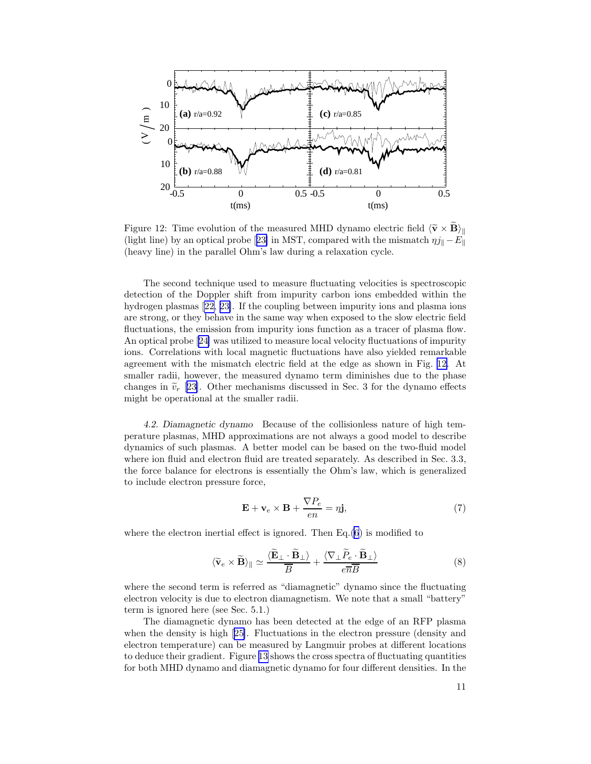<span id="page-10-0"></span>

Figure 12: Time evolution of the measured MHD dynamo electric field  $\langle \tilde{\mathbf{v}} \times \mathbf{B} \rangle_{\parallel}$ (lightline) by an optical probe [[23\]](#page-18-0) in MST, compared with the mismatch  $\eta j_{\parallel} - E_{\parallel}$ (heavy line) in the parallel Ohm's law during a relaxation cycle.

The second technique used to measure fluctuating velocities is spectroscopic detection of the Doppler shift from impurity carbon ions embedded within the hydrogen plasmas[[22, 23\]](#page-18-0). If the coupling between impurity ions and plasma ions are strong, or they behave in the same way when exposed to the slow electric field fluctuations, the emission from impurity ions function as a tracer of plasma flow. An optical probe[[24\]](#page-18-0) was utilized to measure local velocity fluctuations of impurity ions. Correlations with local magnetic fluctuations have also yielded remarkable agreement with the mismatch electric field at the edge as shown in Fig. 12. At smaller radii, however, the measured dynamo term diminishes due to the phase changes in  $\tilde{v}_r$  [[23\]](#page-18-0). Other mechanisms discussed in Sec. 3 for the dynamo effects might be operational at the smaller radii.

4.2. Diamagnetic dynamo Because of the collisionless nature of high temperature plasmas, MHD approximations are not always a good model to describe dynamics of such plasmas. A better model can be based on the two-fluid model where ion fluid and electron fluid are treated separately. As described in Sec. 3.3, the force balance for electrons is essentially the Ohm's law, which is generalized to include electron pressure force,

$$
\mathbf{E} + \mathbf{v}_e \times \mathbf{B} + \frac{\nabla P_e}{en} = \eta \mathbf{j},\tag{7}
$$

where the electron inertial effect is ignored. Then Eq.[\(6](#page-9-0)) is modified to

$$
\langle \widetilde{\mathbf{v}}_e \times \widetilde{\mathbf{B}} \rangle_{\parallel} \simeq \frac{\langle \widetilde{\mathbf{E}}_{\perp} \cdot \widetilde{\mathbf{B}}_{\perp} \rangle}{\overline{B}} + \frac{\langle \nabla_{\perp} \widetilde{P}_e \cdot \widetilde{\mathbf{B}}_{\perp} \rangle}{e \overline{n} \overline{B}}
$$
(8)

where the second term is referred as "diamagnetic" dynamo since the fluctuating electron velocity is due to electron diamagnetism. We note that a small "battery" term is ignored here (see Sec. 5.1.)

The diamagnetic dynamo has been detected at the edge of an RFP plasma when the density is high[[25\]](#page-18-0). Fluctuations in the electron pressure (density and electron temperature) can be measured by Langmuir probes at different locations to deduce their gradient. Figure [13](#page-11-0) shows the cross spectra of fluctuating quantities for both MHD dynamo and diamagnetic dynamo for four different densities. In the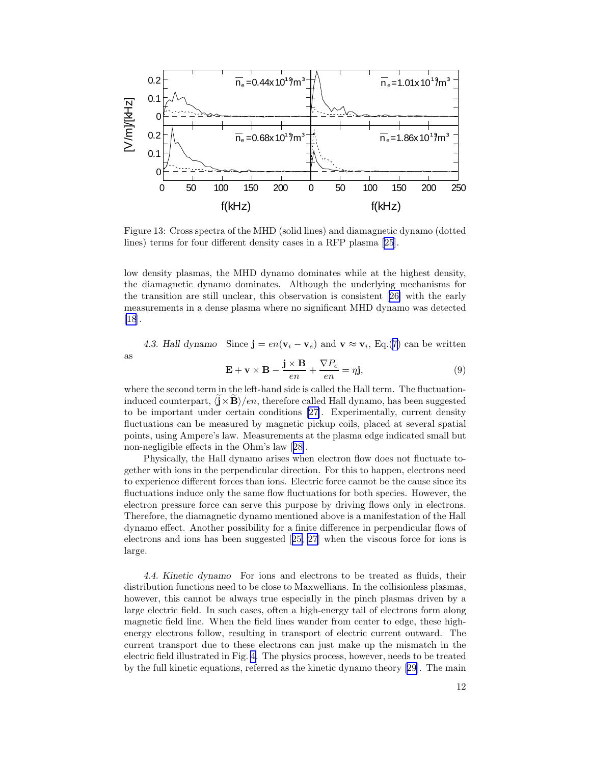<span id="page-11-0"></span>

Figure 13: Cross spectra of the MHD (solid lines) and diamagnetic dynamo (dotted lines) terms for four different density cases in a RFP plasma [\[25](#page-18-0)].

low density plasmas, the MHD dynamo dominates while at the highest density, the diamagnetic dynamo dominates. Although the underlying mechanisms for the transition are still unclear, this observation is consistent[[26\]](#page-18-0) with the early measurements in a dense plasma where no significant MHD dynamo was detected [\[18](#page-18-0)].

4.3. Hall dynamo Since  $\mathbf{j} = en(\mathbf{v}_i - \mathbf{v}_e)$  and  $\mathbf{v} \approx \mathbf{v}_i$ , Eq.([7\)](#page-10-0) can be written as

$$
\mathbf{E} + \mathbf{v} \times \mathbf{B} - \frac{\mathbf{j} \times \mathbf{B}}{en} + \frac{\nabla P_e}{en} = \eta \mathbf{j},\tag{9}
$$

where the second term in the left-hand side is called the Hall term. The fluctuationinduced counterpart,  $\langle \mathbf{j} \times \mathbf{B} \rangle / en$ , therefore called Hall dynamo, has been suggested to be important under certain conditions[[27\]](#page-19-0). Experimentally, current density fluctuations can be measured by magnetic pickup coils, placed at several spatial points, using Ampere's law. Measurements at the plasma edge indicated small but non-negligible effects in the Ohm's law[[28\]](#page-19-0).

Physically, the Hall dynamo arises when electron flow does not fluctuate together with ions in the perpendicular direction. For this to happen, electrons need to experience different forces than ions. Electric force cannot be the cause since its fluctuations induce only the same flow fluctuations for both species. However, the electron pressure force can serve this purpose by driving flows only in electrons. Therefore, the diamagnetic dynamo mentioned above is a manifestation of the Hall dynamo effect. Another possibility for a finite difference in perpendicular flows of electrons and ions has been suggested[[25,](#page-18-0) [27](#page-19-0)] when the viscous force for ions is large.

4.4. Kinetic dynamo For ions and electrons to be treated as fluids, their distribution functions need to be close to Maxwellians. In the collisionless plasmas, however, this cannot be always true especially in the pinch plasmas driven by a large electric field. In such cases, often a high-energy tail of electrons form along magnetic field line. When the field lines wander from center to edge, these highenergy electrons follow, resulting in transport of electric current outward. The current transport due to these electrons can just make up the mismatch in the electric field illustrated in Fig. [4.](#page-3-0) The physics process, however, needs to be treated by the full kinetic equations, referred as the kinetic dynamo theory[[29\]](#page-19-0). The main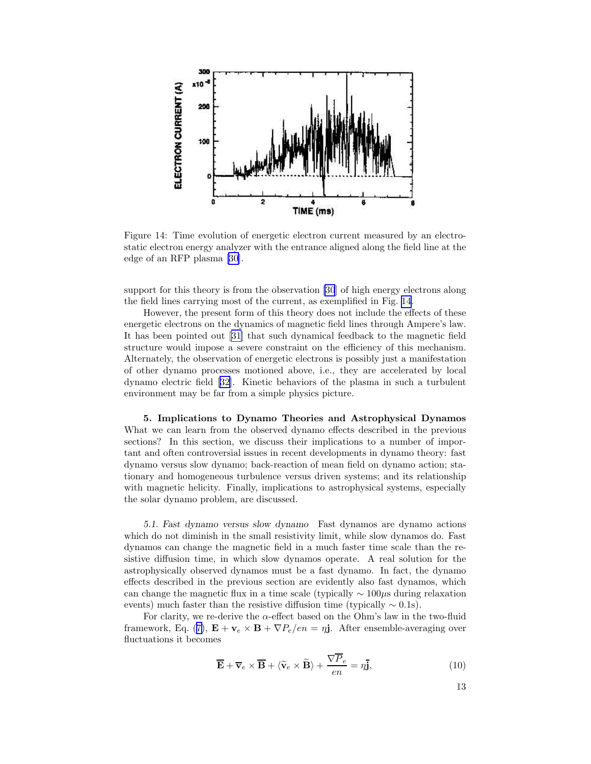<span id="page-12-0"></span>

Figure 14: Time evolution of energetic electron current measured by an electrostatic electron energy analyzer with the entrance aligned along the field line at the edge of an RFP plasma [\[30](#page-19-0)].

support for this theory is from the observation [\[30](#page-19-0)] of high energy electrons along the field lines carrying most of the current, as exemplified in Fig. 14.

However, the present form of this theory does not include the effects of these energetic electrons on the dynamics of magnetic field lines through Ampere's law. It has been pointed out[[31\]](#page-19-0) that such dynamical feedback to the magnetic field structure would impose a severe constraint on the efficiency of this mechanism. Alternately, the observation of energetic electrons is possibly just a manifestation of other dynamo processes motioned above, i.e., they are accelerated by local dynamo electric field [\[32](#page-19-0)]. Kinetic behaviors of the plasma in such a turbulent environment may be far from a simple physics picture.

5. Implications to Dynamo Theories and Astrophysical Dynamos What we can learn from the observed dynamo effects described in the previous sections? In this section, we discuss their implications to a number of important and often controversial issues in recent developments in dynamo theory: fast dynamo versus slow dynamo; back-reaction of mean field on dynamo action; stationary and homogeneous turbulence versus driven systems; and its relationship with magnetic helicity. Finally, implications to astrophysical systems, especially the solar dynamo problem, are discussed.

5.1. Fast dynamo versus slow dynamo Fast dynamos are dynamo actions which do not diminish in the small resistivity limit, while slow dynamos do. Fast dynamos can change the magnetic field in a much faster time scale than the resistive diffusion time, in which slow dynamos operate. A real solution for the astrophysically observed dynamos must be a fast dynamo. In fact, the dynamo effects described in the previous section are evidently also fast dynamos, which can change the magnetic flux in a time scale (typically  $\sim 100 \mu s$  during relaxation events) much faster than the resistive diffusion time (typically  $\sim 0.1$ s).

For clarity, we re-derive the  $\alpha$ -effect based on the Ohm's law in the two-fluid framework, Eq. ([7\)](#page-10-0),  $\mathbf{E} + \mathbf{v}_e \times \mathbf{B} + \nabla P_e/en = \eta \mathbf{j}$ . After ensemble-averaging over fluctuations it becomes

$$
\overline{\mathbf{E}} + \overline{\mathbf{v}}_e \times \overline{\mathbf{B}} + \langle \widetilde{\mathbf{v}}_e \times \widetilde{\mathbf{B}} \rangle + \frac{\nabla \overline{P}_e}{en} = \eta \overline{\mathbf{j}},\tag{10}
$$

13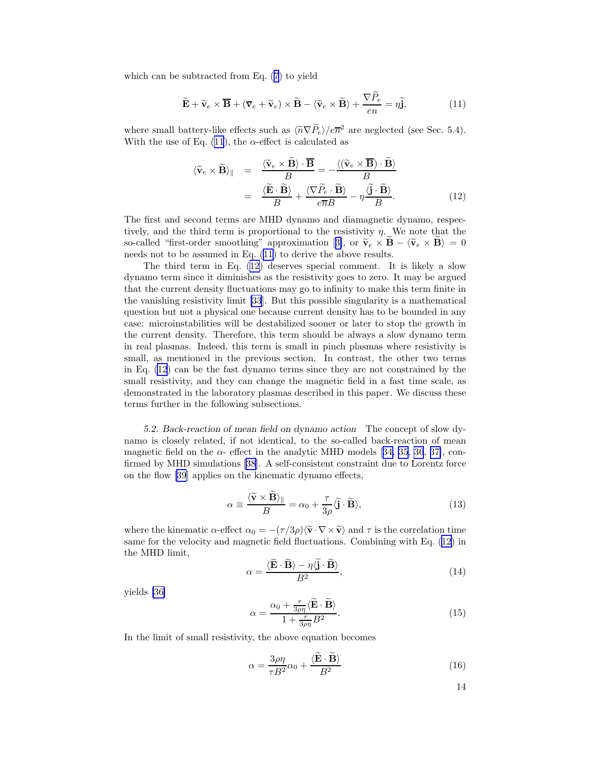<span id="page-13-0"></span>which can be subtracted from Eq. ([7\)](#page-10-0) to yield

$$
\widetilde{\mathbf{E}} + \widetilde{\mathbf{v}}_e \times \overline{\mathbf{B}} + (\overline{\mathbf{v}}_e + \widetilde{\mathbf{v}}_e) \times \widetilde{\mathbf{B}} - \langle \widetilde{\mathbf{v}}_e \times \widetilde{\mathbf{B}} \rangle + \frac{\nabla P_e}{en} = \eta \widetilde{\mathbf{j}},
$$
\n(11)

where small battery-like effects such as  $\langle \tilde{n} \nabla \tilde{P}_e \rangle / e \overline{n}^2$  are neglected (see Sec. 5.4). With the use of Eq. (11), the  $\alpha$ -effect is calculated as

$$
\langle \widetilde{\mathbf{v}}_e \times \widetilde{\mathbf{B}} \rangle_{\parallel} = \frac{\langle \widetilde{\mathbf{v}}_e \times \widetilde{\mathbf{B}} \rangle \cdot \overline{\mathbf{B}}}{B} = -\frac{\langle (\widetilde{\mathbf{v}}_e \times \overline{\mathbf{B}}) \cdot \widetilde{\mathbf{B}} \rangle}{B}
$$

$$
= \frac{\langle \widetilde{\mathbf{E}} \cdot \widetilde{\mathbf{B}} \rangle}{B} + \frac{\langle \nabla \widetilde{P}_e \cdot \widetilde{\mathbf{B}} \rangle}{e \overline{n} B} - \eta \frac{\langle \widetilde{\mathbf{j}} \cdot \widetilde{\mathbf{B}} \rangle}{B}.
$$
(12)

The first and second terms are MHD dynamo and diamagnetic dynamo, respectively, and the third term is proportional to the resistivity  $\eta$ . We note that the so-called"first-order smoothing" approximation [[3\]](#page-17-0), or  $\tilde{\mathbf{v}}_e \times \tilde{\mathbf{B}} - \langle \tilde{\mathbf{v}}_e \times \tilde{\mathbf{B}} \rangle = 0$ needs not to be assumed in Eq. (11) to derive the above results.

The third term in Eq. (12) deserves special comment. It is likely a slow dynamo term since it diminishes as the resistivity goes to zero. It may be argued that the current density fluctuations may go to infinity to make this term finite in the vanishing resistivity limit [\[33](#page-19-0)]. But this possible singularity is a mathematical question but not a physical one because current density has to be bounded in any case: microinstabilities will be destabilized sooner or later to stop the growth in the current density. Therefore, this term should be always a slow dynamo term in real plasmas. Indeed, this term is small in pinch plasmas where resistivity is small, as mentioned in the previous section. In contrast, the other two terms in Eq. (12) can be the fast dynamo terms since they are not constrained by the small resistivity, and they can change the magnetic field in a fast time scale, as demonstrated in the laboratory plasmas described in this paper. We discuss these terms further in the following subsections.

5.2. Back-reaction of mean field on dynamo action The concept of slow dynamo is closely related, if not identical, to the so-called back-reaction of mean magneticfield on the  $\alpha$ - effect in the analytic MHD models [[34, 35](#page-19-0), [36](#page-19-0), [37\]](#page-19-0), confirmed by MHD simulations [\[38](#page-19-0)]. A self-consistent constraint due to Lorentz force on the flow [\[39](#page-19-0)] applies on the kinematic dynamo effects,

$$
\alpha \equiv \frac{\langle \widetilde{\mathbf{v}} \times \widetilde{\mathbf{B}} \rangle_{\parallel}}{B} = \alpha_0 + \frac{\tau}{3\rho} \langle \widetilde{\mathbf{j}} \cdot \widetilde{\mathbf{B}} \rangle, \tag{13}
$$

where the kinematic  $\alpha$ -effect  $\alpha_0 = -(\tau/3\rho)\langle \tilde{\mathbf{v}}\cdot \nabla \times \tilde{\mathbf{v}} \rangle$  and  $\tau$  is the correlation time same for the velocity and magnetic field fluctuations. Combining with Eq. (12) in the MHD limit,

$$
\alpha = \frac{\langle \widetilde{\mathbf{E}} \cdot \widetilde{\mathbf{B}} \rangle - \eta \langle \widetilde{\mathbf{j}} \cdot \widetilde{\mathbf{B}} \rangle}{B^2},\tag{14}
$$

yields [\[36\]](#page-19-0)

$$
\alpha = \frac{\alpha_0 + \frac{\tau}{3\rho\eta} \langle \widetilde{\mathbf{B}} \cdot \widetilde{\mathbf{B}} \rangle}{1 + \frac{\tau}{3\rho\eta} B^2}.
$$
\n(15)

In the limit of small resistivity, the above equation becomes

$$
\alpha = \frac{3\rho\eta}{\tau B^2} \alpha_0 + \frac{\langle \mathbf{\tilde{E}} \cdot \mathbf{\tilde{B}} \rangle}{B^2}
$$
 (16)

14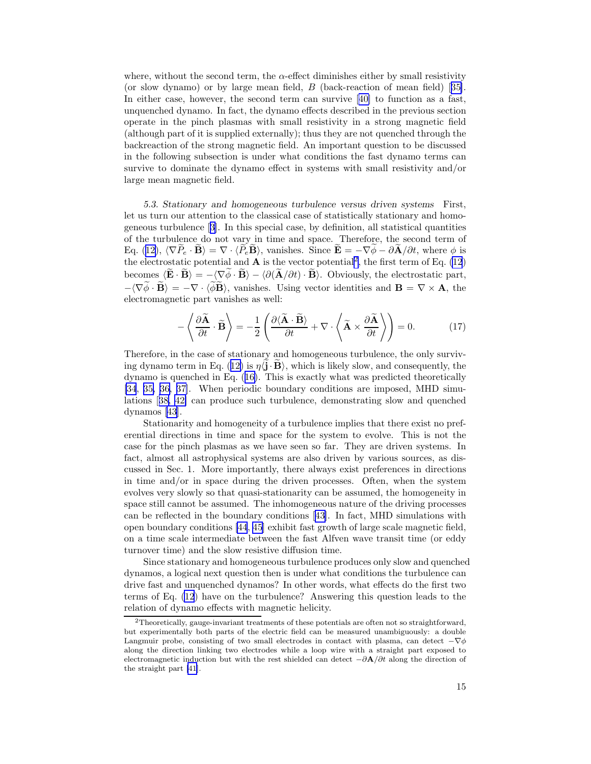<span id="page-14-0"></span>where, without the second term, the  $\alpha$ -effect diminishes either by small resistivity (orslow dynamo) or by large mean field,  $B$  (back-reaction of mean field) [[35\]](#page-19-0). In either case, however, the second term can survive[[40\]](#page-19-0) to function as a fast, unquenched dynamo. In fact, the dynamo effects described in the previous section operate in the pinch plasmas with small resistivity in a strong magnetic field (although part of it is supplied externally); thus they are not quenched through the backreaction of the strong magnetic field. An important question to be discussed in the following subsection is under what conditions the fast dynamo terms can survive to dominate the dynamo effect in systems with small resistivity and/or large mean magnetic field.

5.3. Stationary and homogeneous turbulence versus driven systems First, let us turn our attention to the classical case of statistically stationary and homogeneous turbulence[[3\]](#page-17-0). In this special case, by definition, all statistical quantities of the turbulence do not vary in time and space. Therefore, the second term of Eq. ([12\)](#page-13-0),  $\langle \nabla P_e \cdot \mathbf{B} \rangle = \nabla \cdot \langle P_e \mathbf{B} \rangle$ , vanishes. Since  $\mathbf{E} = -\nabla \phi - \partial \mathbf{A}/\partial t$ , where  $\phi$  is the electrostatic potential and  $\bf{A}$  is the vector potential<sup>2</sup>, the first term of Eq. [\(12](#page-13-0)) becomes  $\langle \mathbf{\tilde{E}} \cdot \mathbf{\tilde{B}} \rangle = -\langle \nabla \phi \cdot \mathbf{\tilde{B}} \rangle - \langle \partial (\mathbf{\tilde{A}}/\partial t) \cdot \mathbf{\tilde{B}} \rangle$ . Obviously, the electrostatic part,  $-\langle \nabla \widetilde{\phi} \cdot \widetilde{\mathbf{B}} \rangle = -\nabla \cdot \langle \widetilde{\phi} \widetilde{\mathbf{B}} \rangle$ , vanishes. Using vector identities and  $\mathbf{B} = \nabla \times \mathbf{A}$ , the electromagnetic part vanishes as well:

$$
-\left\langle \frac{\partial \widetilde{\mathbf{A}}}{\partial t} \cdot \widetilde{\mathbf{B}} \right\rangle = -\frac{1}{2} \left( \frac{\partial \langle \widetilde{\mathbf{A}} \cdot \widetilde{\mathbf{B}} \rangle}{\partial t} + \nabla \cdot \left\langle \widetilde{\mathbf{A}} \times \frac{\partial \widetilde{\mathbf{A}}}{\partial t} \right\rangle \right) = 0. \tag{17}
$$

Therefore, in the case of stationary and homogeneous turbulence, the only surviv-ing dynamo term in Eq. ([12\)](#page-13-0) is  $\eta\langle\mathbf{j}\cdot\mathbf{B}\rangle$ , which is likely slow, and consequently, the dynamo is quenched in Eq. ([16\)](#page-13-0). This is exactly what was predicted theoretically [\[34](#page-19-0), [35, 36, 37\]](#page-19-0). When periodic boundary conditions are imposed, MHD simulations[[38, 42\]](#page-19-0) can produce such turbulence, demonstrating slow and quenched dynamos [\[43](#page-19-0)].

Stationarity and homogeneity of a turbulence implies that there exist no preferential directions in time and space for the system to evolve. This is not the case for the pinch plasmas as we have seen so far. They are driven systems. In fact, almost all astrophysical systems are also driven by various sources, as discussed in Sec. 1. More importantly, there always exist preferences in directions in time and/or in space during the driven processes. Often, when the system evolves very slowly so that quasi-stationarity can be assumed, the homogeneity in space still cannot be assumed. The inhomogeneous nature of the driving processes can be reflected in the boundary conditions[[43\]](#page-19-0). In fact, MHD simulations with open boundary conditions [\[44](#page-19-0), [45\]](#page-19-0) exhibit fast growth of large scale magnetic field, on a time scale intermediate between the fast Alfven wave transit time (or eddy turnover time) and the slow resistive diffusion time.

Since stationary and homogeneous turbulence produces only slow and quenched dynamos, a logical next question then is under what conditions the turbulence can drive fast and unquenched dynamos? In other words, what effects do the first two terms of Eq. [\(12](#page-13-0)) have on the turbulence? Answering this question leads to the relation of dynamo effects with magnetic helicity.

<sup>2</sup>Theoretically, gauge-invariant treatments of these potentials are often not so straightforward, but experimentally both parts of the electric field can be measured unambiguously: a double Langmuir probe, consisting of two small electrodes in contact with plasma, can detect  $-\nabla\phi$ along the direction linking two electrodes while a loop wire with a straight part exposed to electromagnetic induction but with the rest shielded can detect  $-\partial \mathbf{A}/\partial t$  along the direction of the straight part [\[41\]](#page-19-0).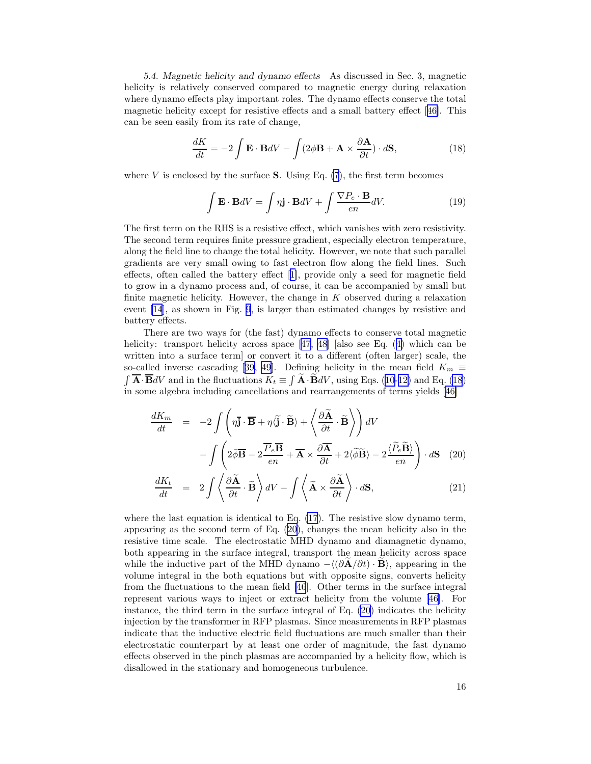<span id="page-15-0"></span>5.4. Magnetic helicity and dynamo effects As discussed in Sec. 3, magnetic helicity is relatively conserved compared to magnetic energy during relaxation where dynamo effects play important roles. The dynamo effects conserve the total magnetic helicity except for resistive effects and a small battery effect[[46\]](#page-19-0). This can be seen easily from its rate of change,

$$
\frac{dK}{dt} = -2 \int \mathbf{E} \cdot \mathbf{B} dV - \int (2\phi \mathbf{B} + \mathbf{A} \times \frac{\partial \mathbf{A}}{\partial t}) \cdot d\mathbf{S},\tag{18}
$$

where  $V$  is enclosed by the surface **S**. Using Eq.  $(7)$  $(7)$ , the first term becomes

$$
\int \mathbf{E} \cdot \mathbf{B}dV = \int \eta \mathbf{j} \cdot \mathbf{B}dV + \int \frac{\nabla P_e \cdot \mathbf{B}}{en} dV.
$$
 (19)

The first term on the RHS is a resistive effect, which vanishes with zero resistivity. The second term requires finite pressure gradient, especially electron temperature, along the field line to change the total helicity. However, we note that such parallel gradients are very small owing to fast electron flow along the field lines. Such effects, often called the battery effect[[1\]](#page-17-0), provide only a seed for magnetic field to grow in a dynamo process and, of course, it can be accompanied by small but finite magnetic helicity. However, the change in  $K$  observed during a relaxation event [\[14](#page-18-0)], as shown in Fig. [9,](#page-7-0) is larger than estimated changes by resistive and battery effects.

There are two ways for (the fast) dynamo effects to conserve total magnetic helicity: transport helicity across space [\[47, 48](#page-19-0)] [also see Eq. ([4\)](#page-7-0) which can be written into a surface term] or convert it to a different (often larger) scale, the so-calledinverse cascading [[39,](#page-19-0) [49](#page-20-0)]. Defining helicity in the mean field  $K_m \equiv$  $\int \overline{\mathbf{A}} \cdot \overline{\mathbf{B}} dV$  and in the fluctuations  $K_t \equiv \int \widetilde{\mathbf{A}} \cdot \widetilde{\mathbf{B}} dV$ , using Eqs. [\(10](#page-12-0)-[12\)](#page-13-0) and Eq. (18) in some algebra including cancellations and rearrangements of terms yields[[46\]](#page-19-0)

$$
\frac{dK_m}{dt} = -2 \int \left( \eta \overline{\mathbf{j}} \cdot \overline{\mathbf{B}} + \eta \langle \widetilde{\mathbf{j}} \cdot \widetilde{\mathbf{B}} \rangle + \left\langle \frac{\partial \widetilde{\mathbf{A}}}{\partial t} \cdot \widetilde{\mathbf{B}} \right\rangle \right) dV
$$

$$
- \int \left( 2 \overline{\phi} \overline{\mathbf{B}} - 2 \frac{\overline{P}_e \overline{\mathbf{B}}}{en} + \overline{\mathbf{A}} \times \frac{\partial \overline{\mathbf{A}}}{\partial t} + 2 \langle \widetilde{\phi} \widetilde{\mathbf{B}} \rangle - 2 \frac{\langle \widetilde{P}_e \widetilde{\mathbf{B}} \rangle}{en} \right) \cdot d\mathbf{S} \quad (20)
$$

$$
\frac{dK_t}{dt} = 2 \int \left( \frac{\partial \widetilde{\mathbf{A}}}{dt} \cdot \widetilde{\mathbf{B}} \right) dV - \int \left( \widetilde{\mathbf{A}} \times \frac{\partial \widetilde{\mathbf{A}}}{dt} \right) \cdot d\mathbf{S} \quad (21)
$$

$$
\frac{dK_t}{dt} = 2 \int \left\langle \frac{\partial \widetilde{\mathbf{A}}}{\partial t} \cdot \widetilde{\mathbf{B}} \right\rangle dV - \int \left\langle \widetilde{\mathbf{A}} \times \frac{\partial \widetilde{\mathbf{A}}}{\partial t} \right\rangle \cdot d\mathbf{S},\tag{21}
$$

where the last equation is identical to Eq.  $(17)$  $(17)$ . The resistive slow dynamo term, appearing as the second term of Eq. (20), changes the mean helicity also in the resistive time scale. The electrostatic MHD dynamo and diamagnetic dynamo, both appearing in the surface integral, transport the mean helicity across space while the inductive part of the MHD dynamo  $-\langle (\partial \mathbf{A}/\partial t) \cdot \mathbf{B} \rangle$ , appearing in the volume integral in the both equations but with opposite signs, converts helicity from the fluctuations to the mean field [\[46](#page-19-0)]. Other terms in the surface integral represent various ways to inject or extract helicity from the volume [\[46](#page-19-0)]. For instance, the third term in the surface integral of Eq. (20) indicates the helicity injection by the transformer in RFP plasmas. Since measurements in RFP plasmas indicate that the inductive electric field fluctuations are much smaller than their electrostatic counterpart by at least one order of magnitude, the fast dynamo effects observed in the pinch plasmas are accompanied by a helicity flow, which is disallowed in the stationary and homogeneous turbulence.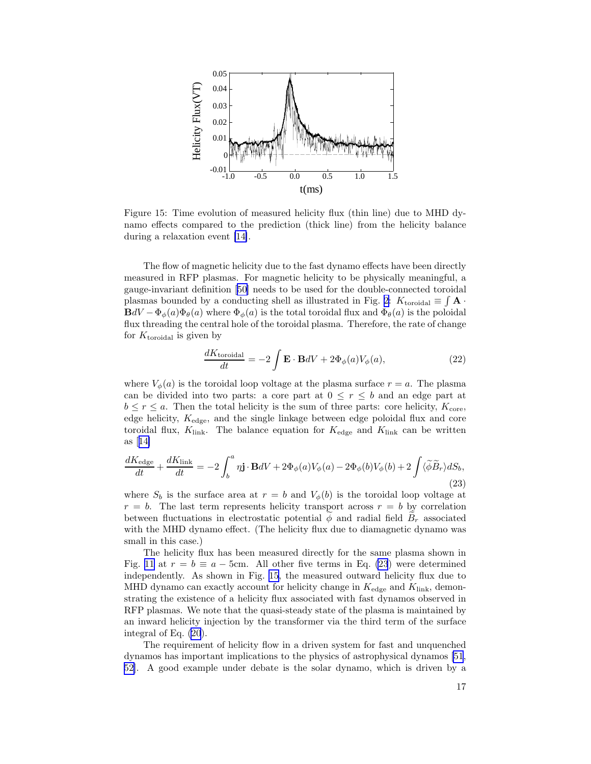

Figure 15: Time evolution of measured helicity flux (thin line) due to MHD dynamo effects compared to the prediction (thick line) from the helicity balance during a relaxation event [\[14\]](#page-18-0).

The flow of magnetic helicity due to the fast dynamo effects have been directly measured in RFP plasmas. For magnetic helicity to be physically meaningful, a gauge-invariant definition[[50\]](#page-20-0) needs to be used for the double-connected toroidal plasmas bounded by a conducting shell as illustrated in Fig. [2:](#page-2-0)  $K_{\text{toroidal}} \equiv \int \mathbf{A} \cdot$  $BdV - \Phi_{\phi}(a)\Phi_{\theta}(a)$  where  $\Phi_{\phi}(a)$  is the total toroidal flux and  $\Phi_{\theta}(a)$  is the poloidal flux threading the central hole of the toroidal plasma. Therefore, the rate of change for  $K_{\text{toroidal}}$  is given by

$$
\frac{dK_{\text{toroidal}}}{dt} = -2 \int \mathbf{E} \cdot \mathbf{B}dV + 2\Phi_{\phi}(a)V_{\phi}(a),\tag{22}
$$

where  $V_{\phi}(a)$  is the toroidal loop voltage at the plasma surface  $r = a$ . The plasma can be divided into two parts: a core part at  $0 \leq r \leq b$  and an edge part at  $b \leq r \leq a$ . Then the total helicity is the sum of three parts: core helicity,  $K_{\text{core}}$ , edge helicity,  $K_{\text{edge}}$ , and the single linkage between edge poloidal flux and core toroidal flux,  $K_{\text{link}}$ . The balance equation for  $K_{\text{edge}}$  and  $K_{\text{link}}$  can be written as[[14\]](#page-18-0)

$$
\frac{dK_{\text{edge}}}{dt} + \frac{dK_{\text{link}}}{dt} = -2 \int_b^a \eta \mathbf{j} \cdot \mathbf{B} dV + 2\Phi_{\phi}(a)V_{\phi}(a) - 2\Phi_{\phi}(b)V_{\phi}(b) + 2 \int \langle \widetilde{\phi} \widetilde{B}_r \rangle dS_b,
$$
\n(23)

where  $S_b$  is the surface area at  $r = b$  and  $V_{\phi}(b)$  is the toroidal loop voltage at  $r = b$ . The last term represents helicity transport across  $r = b$  by correlation between fluctuations in electrostatic potential  $\phi$  and radial field  $B_r$  associated with the MHD dynamo effect. (The helicity flux due to diamagnetic dynamo was small in this case.)

The helicity flux has been measured directly for the same plasma shown in Fig. [11](#page-9-0) at  $r = b \equiv a - 5$ cm. All other five terms in Eq. (23) were determined independently. As shown in Fig. 15, the measured outward helicity flux due to MHD dynamo can exactly account for helicity change in  $K_{\text{edge}}$  and  $K_{\text{link}}$ , demonstrating the existence of a helicity flux associated with fast dynamos observed in RFP plasmas. We note that the quasi-steady state of the plasma is maintained by an inward helicity injection by the transformer via the third term of the surface integral of Eq. [\(20](#page-15-0)).

The requirement of helicity flow in a driven system for fast and unquenched dynamos has important implications to the physics of astrophysical dynamos [\[51](#page-20-0), [52\]](#page-20-0). A good example under debate is the solar dynamo, which is driven by a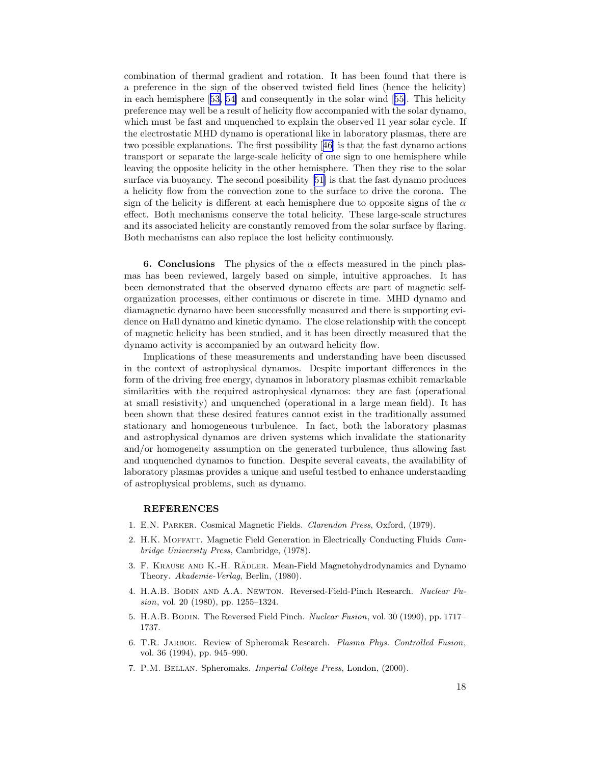<span id="page-17-0"></span>combination of thermal gradient and rotation. It has been found that there is a preference in the sign of the observed twisted field lines (hence the helicity) in each hemisphere[[53, 54\]](#page-20-0) and consequently in the solar wind[[55\]](#page-20-0). This helicity preference may well be a result of helicity flow accompanied with the solar dynamo, which must be fast and unquenched to explain the observed 11 year solar cycle. If the electrostatic MHD dynamo is operational like in laboratory plasmas, there are two possible explanations. The first possibility[[46\]](#page-19-0) is that the fast dynamo actions transport or separate the large-scale helicity of one sign to one hemisphere while leaving the opposite helicity in the other hemisphere. Then they rise to the solar surface via buoyancy. The second possibility[[51\]](#page-20-0) is that the fast dynamo produces a helicity flow from the convection zone to the surface to drive the corona. The sign of the helicity is different at each hemisphere due to opposite signs of the  $\alpha$ effect. Both mechanisms conserve the total helicity. These large-scale structures and its associated helicity are constantly removed from the solar surface by flaring. Both mechanisms can also replace the lost helicity continuously.

6. Conclusions The physics of the  $\alpha$  effects measured in the pinch plasmas has been reviewed, largely based on simple, intuitive approaches. It has been demonstrated that the observed dynamo effects are part of magnetic selforganization processes, either continuous or discrete in time. MHD dynamo and diamagnetic dynamo have been successfully measured and there is supporting evidence on Hall dynamo and kinetic dynamo. The close relationship with the concept of magnetic helicity has been studied, and it has been directly measured that the dynamo activity is accompanied by an outward helicity flow.

Implications of these measurements and understanding have been discussed in the context of astrophysical dynamos. Despite important differences in the form of the driving free energy, dynamos in laboratory plasmas exhibit remarkable similarities with the required astrophysical dynamos: they are fast (operational at small resistivity) and unquenched (operational in a large mean field). It has been shown that these desired features cannot exist in the traditionally assumed stationary and homogeneous turbulence. In fact, both the laboratory plasmas and astrophysical dynamos are driven systems which invalidate the stationarity and/or homogeneity assumption on the generated turbulence, thus allowing fast and unquenched dynamos to function. Despite several caveats, the availability of laboratory plasmas provides a unique and useful testbed to enhance understanding of astrophysical problems, such as dynamo.

## REFERENCES

- 1. E.N. Parker. Cosmical Magnetic Fields. Clarendon Press, Oxford, (1979).
- 2. H.K. MOFFATT. Magnetic Field Generation in Electrically Conducting Fluids Cambridge University Press, Cambridge, (1978).
- 3. F. KRAUSE AND K.-H. RÄDLER. Mean-Field Magnetohydrodynamics and Dynamo Theory. Akademie-Verlag, Berlin, (1980).
- 4. H.A.B. Bodin and A.A. Newton. Reversed-Field-Pinch Research. Nuclear Fusion, vol. 20 (1980), pp. 1255–1324.
- 5. H.A.B. Bodin. The Reversed Field Pinch. Nuclear Fusion, vol. 30 (1990), pp. 1717– 1737.
- 6. T.R. Jarboe. Review of Spheromak Research. Plasma Phys. Controlled Fusion, vol. 36 (1994), pp. 945–990.
- 7. P.M. Bellan. Spheromaks. Imperial College Press, London, (2000).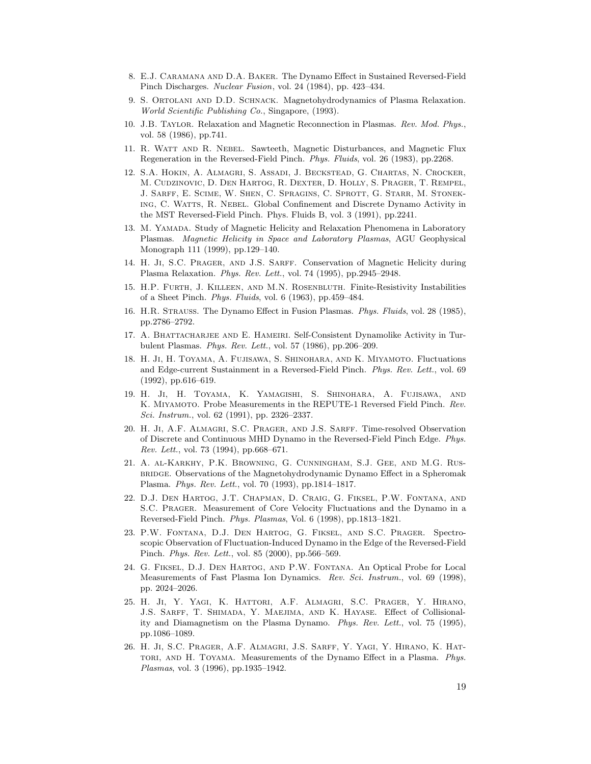- <span id="page-18-0"></span>8. E.J. Caramana and D.A. Baker. The Dynamo Effect in Sustained Reversed-Field Pinch Discharges. Nuclear Fusion, vol. 24 (1984), pp. 423–434.
- 9. S. Ortolani and D.D. Schnack. Magnetohydrodynamics of Plasma Relaxation. World Scientific Publishing Co., Singapore, (1993).
- 10. J.B. Taylor. Relaxation and Magnetic Reconnection in Plasmas. Rev. Mod. Phys., vol. 58 (1986), pp.741.
- 11. R. Watt and R. Nebel. Sawteeth, Magnetic Disturbances, and Magnetic Flux Regeneration in the Reversed-Field Pinch. Phys. Fluids, vol. 26 (1983), pp.2268.
- 12. S.A. Hokin, A. Almagri, S. Assadi, J. Beckstead, G. Chartas, N. Crocker, M. Cudzinovic, D. Den Hartog, R. Dexter, D. Holly, S. Prager, T. Rempel, J. Sarff, E. Scime, W. Shen, C. Spragins, C. Sprott, G. Starr, M. Stoneking, C. Watts, R. Nebel. Global Confinement and Discrete Dynamo Activity in the MST Reversed-Field Pinch. Phys. Fluids B, vol. 3 (1991), pp.2241.
- 13. M. YAMADA. Study of Magnetic Helicity and Relaxation Phenomena in Laboratory Plasmas. Magnetic Helicity in Space and Laboratory Plasmas, AGU Geophysical Monograph 111 (1999), pp.129–140.
- 14. H. Ji, S.C. Prager, and J.S. Sarff. Conservation of Magnetic Helicity during Plasma Relaxation. Phys. Rev. Lett., vol. 74 (1995), pp.2945–2948.
- 15. H.P. Furth, J. Killeen, and M.N. Rosenbluth. Finite-Resistivity Instabilities of a Sheet Pinch. Phys. Fluids, vol. 6 (1963), pp.459–484.
- 16. H.R. Strauss. The Dynamo Effect in Fusion Plasmas. Phys. Fluids, vol. 28 (1985), pp.2786–2792.
- 17. A. Bhattacharjee and E. Hameiri. Self-Consistent Dynamolike Activity in Turbulent Plasmas. Phys. Rev. Lett., vol. 57 (1986), pp.206–209.
- 18. H. Ji, H. Toyama, A. Fujisawa, S. Shinohara, and K. Miyamoto. Fluctuations and Edge-current Sustainment in a Reversed-Field Pinch. Phys. Rev. Lett., vol. 69 (1992), pp.616–619.
- 19. H. Ji, H. Toyama, K. Yamagishi, S. Shinohara, A. Fujisawa, and K. Miyamoto. Probe Measurements in the REPUTE-1 Reversed Field Pinch. Rev. Sci. Instrum., vol. 62 (1991), pp. 2326–2337.
- 20. H. Ji, A.F. Almagri, S.C. Prager, and J.S. Sarff. Time-resolved Observation of Discrete and Continuous MHD Dynamo in the Reversed-Field Pinch Edge. Phys. Rev. Lett., vol. 73 (1994), pp.668–671.
- 21. A. al-Karkhy, P.K. Browning, G. Cunningham, S.J. Gee, and M.G. Rusbridge. Observations of the Magnetohydrodynamic Dynamo Effect in a Spheromak Plasma. Phys. Rev. Lett., vol. 70 (1993), pp.1814–1817.
- 22. D.J. Den Hartog, J.T. Chapman, D. Craig, G. Fiksel, P.W. Fontana, and S.C. Prager. Measurement of Core Velocity Fluctuations and the Dynamo in a Reversed-Field Pinch. Phys. Plasmas, Vol. 6 (1998), pp.1813–1821.
- 23. P.W. Fontana, D.J. Den Hartog, G. Fiksel, and S.C. Prager. Spectroscopic Observation of Fluctuation-Induced Dynamo in the Edge of the Reversed-Field Pinch. Phys. Rev. Lett., vol. 85 (2000), pp.566–569.
- 24. G. Fiksel, D.J. Den Hartog, and P.W. Fontana. An Optical Probe for Local Measurements of Fast Plasma Ion Dynamics. Rev. Sci. Instrum., vol. 69 (1998), pp. 2024–2026.
- 25. H. Ji, Y. Yagi, K. Hattori, A.F. Almagri, S.C. Prager, Y. Hirano, J.S. Sarff, T. Shimada, Y. Maejima, and K. Hayase. Effect of Collisionality and Diamagnetism on the Plasma Dynamo. Phys. Rev. Lett., vol. 75 (1995), pp.1086–1089.
- 26. H. Ji, S.C. Prager, A.F. Almagri, J.S. Sarff, Y. Yagi, Y. Hirano, K. Hat-TORI, AND H. TOYAMA. Measurements of the Dynamo Effect in a Plasma. Phys. Plasmas, vol. 3 (1996), pp.1935–1942.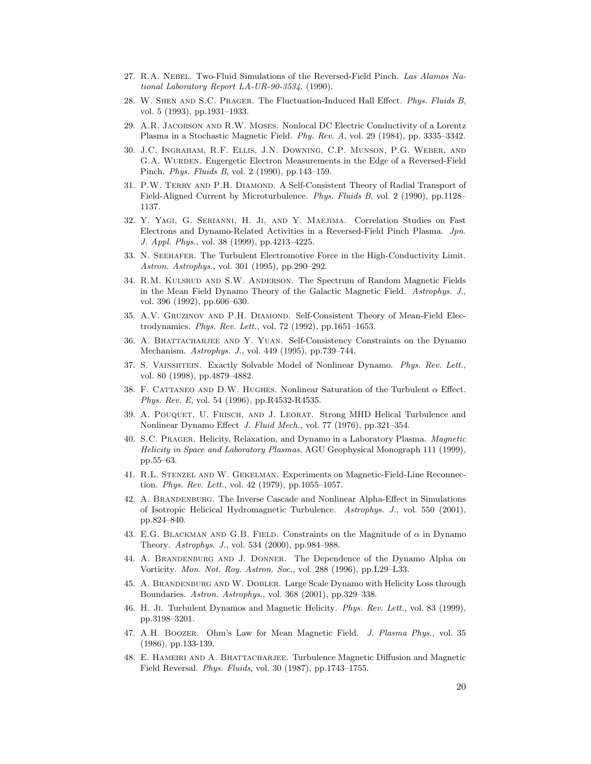- <span id="page-19-0"></span>27. R.A. NEBEL. Two-Fluid Simulations of the Reversed-Field Pinch. Las Alamos National Laboratory Report LA-UR-90-3534, (1990).
- 28. W. Shen and S.C. Prager. The Fluctuation-Induced Hall Effect. Phys. Fluids B, vol. 5 (1993), pp.1931–1933.
- 29. A.R. Jacobson and R.W. Moses. Nonlocal DC Electric Conductivity of a Lorentz Plasma in a Stochastic Magnetic Field. Phy. Rev. A, vol. 29 (1984), pp. 3335–3342.
- 30. J.C. Ingraham, R.F. Ellis, J.N. Downing, C.P. Munson, P.G. Weber, and G.A. WURDEN. Engergetic Electron Measurements in the Edge of a Reversed-Field Pinch. Phys. Fluids B, vol. 2 (1990), pp.143–159.
- 31. P.W. TERRY AND P.H. DIAMOND. A Self-Consistent Theory of Radial Transport of Field-Aligned Current by Microturbulence. Phys. Fluids B, vol. 2 (1990), pp.1128– 1137.
- 32. Y. Yagi, G. Serianni, H. Ji, and Y. Maejima. Correlation Studies on Fast Electrons and Dynamo-Related Activities in a Reversed-Field Pinch Plasma. Jpn. J. Appl. Phys., vol. 38 (1999), pp.4213–4225.
- 33. N. Seehafer. The Turbulent Electromotive Force in the High-Conductivity Limit. Astron. Astrophys., vol. 301 (1995), pp.290–292.
- 34. R.M. Kulsrud and S.W. Anderson. The Spectrum of Random Magnetic Fields in the Mean Field Dynamo Theory of the Galactic Magnetic Field. Astrophys. J., vol. 396 (1992), pp.606–630.
- 35. A.V. GRUZINOV AND P.H. DIAMOND. Self-Consistent Theory of Mean-Field Electrodynamics. Phys. Rev. Lett., vol. 72 (1992), pp.1651–1653.
- 36. A. Bhattacharjee and Y. Yuan. Self-Consistency Constraints on the Dynamo Mechanism. Astrophys. J., vol. 449 (1995), pp.739–744.
- 37. S. VAINSHTEIN. Exactly Solvable Model of Nonlinear Dynamo. Phys. Rev. Lett., vol. 80 (1998), pp.4879–4882.
- 38. F. CATTANEO AND D.W. HUGHES. Nonlinear Saturation of the Turbulent  $\alpha$  Effect. Phys. Rev. E, vol. 54 (1996), pp.R4532-R4535.
- 39. A. POUQUET, U. FRISCH, AND J. LEORAT. Strong MHD Helical Turbulence and Nonlinear Dynamo Effect J. Fluid Mech., vol. 77 (1976), pp.321–354.
- 40. S.C. Prager. Helicity, Relaxation, and Dynamo in a Laboratory Plasma. Magnetic Helicity in Space and Laboratory Plasmas, AGU Geophysical Monograph 111 (1999), pp.55–63.
- 41. R.L. Stenzel and W. Gekelman. Experiments on Magnetic-Field-Line Reconnection. Phys. Rev. Lett., vol. 42 (1979), pp.1055–1057.
- 42. A. BRANDENBURG. The Inverse Cascade and Nonlinear Alpha-Effect in Simulations of Isotropic Helicical Hydromagnetic Turbulence. Astrophys. J., vol. 550 (2001), pp.824–840.
- 43. E.G. BLACKMAN AND G.B. FIELD. Constraints on the Magnitude of  $\alpha$  in Dynamo Theory. Astrophys. J., vol. 534 (2000), pp.984–988.
- 44. A. Brandenburg and J. Donner. The Dependence of the Dynamo Alpha on Vorticity. Mon. Not. Roy. Astron. Soc., vol. 288 (1996), pp.L29–L33.
- 45. A. Brandenburg and W. Dobler. Large Scale Dynamo with Helicity Loss through Boundaries. Astron. Astrophys., vol. 368 (2001), pp.329–338.
- 46. H. Ji. Turbulent Dynamos and Magnetic Helicity. Phys. Rev. Lett., vol. 83 (1999), pp.3198–3201.
- 47. A.H. Boozer. Ohm's Law for Mean Magnetic Field. J. Plasma Phys., vol. 35 (1986), pp.133-139.
- 48. E. Hameiri and A. Bhattacharjee. Turbulence Magnetic Diffusion and Magnetic Field Reversal. Phys. Fluids, vol. 30 (1987), pp.1743–1755.